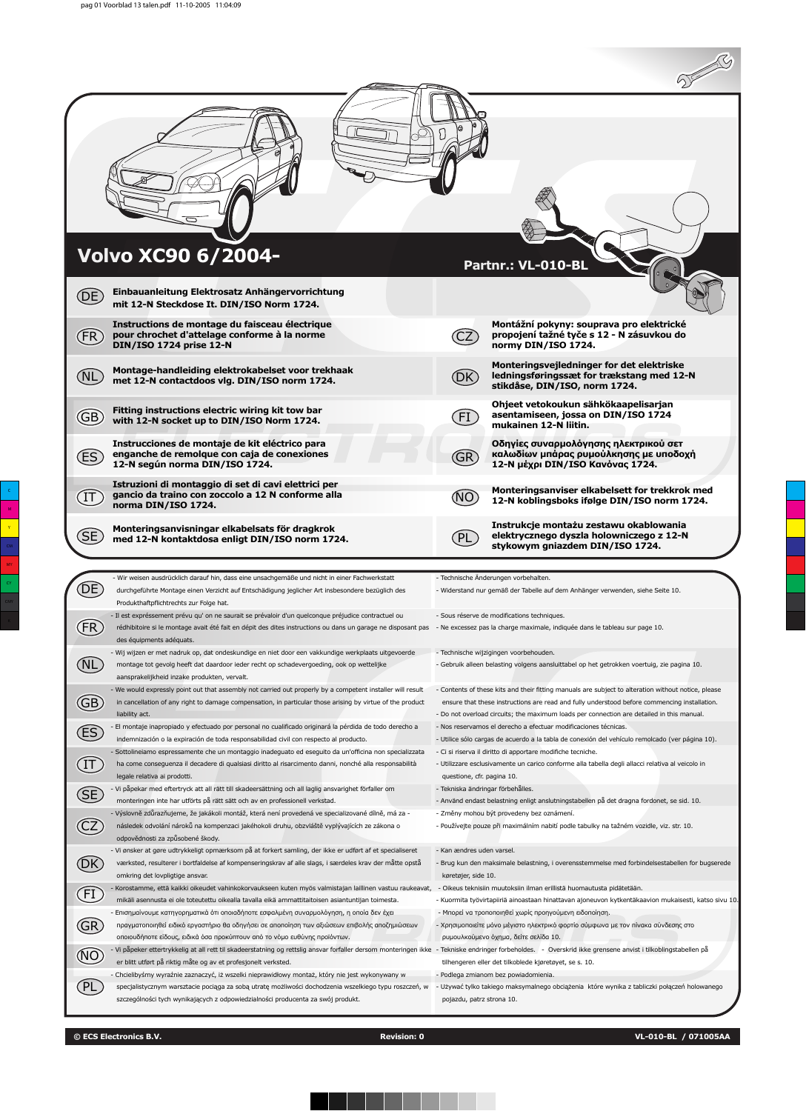2500

|                                                                                                                                                                                                          |                                      | $\sim$ 29                                                                                                               |
|----------------------------------------------------------------------------------------------------------------------------------------------------------------------------------------------------------|--------------------------------------|-------------------------------------------------------------------------------------------------------------------------|
|                                                                                                                                                                                                          |                                      |                                                                                                                         |
| Volvo XC90 6/2004-<br>Einbauanleitung Elektrosatz Anhängervorrichtung<br>(DE)                                                                                                                            |                                      | Partnr.: VL-010-BL                                                                                                      |
| mit 12-N Steckdose It. DIN/ISO Norm 1724.<br>Instructions de montage du faisceau électrique<br>(FR)<br>pour chrochet d'attelage conforme à la norme<br>DIN/ISO 1724 prise 12-N                           |                                      | Montážní pokyny: souprava pro elektrické<br>propojení tažné tyče s 12 - N zásuvkou do<br>normy DIN/ISO 1724.            |
| Montage-handleiding elektrokabelset voor trekhaak<br>(NL<br>met 12-N contactdoos vlg. DIN/ISO norm 1724.                                                                                                 | (DK)                                 | Monteringsvejledninger for det elektriske<br>ledningsføringssæt for trækstang med 12-N<br>stikdåse, DIN/ISO, norm 1724. |
| Fitting instructions electric wiring kit tow bar<br>(GB)<br>with 12-N socket up to DIN/ISO Norm 1724.                                                                                                    | $(\mathsf{F}\mathbf{I})$             | Ohjeet vetokoukun sähkökaapelisarjan<br>asentamiseen, jossa on DIN/ISO 1724<br>mukainen 12-N liitin.                    |
| Instrucciones de montaje de kit eléctrico para<br>enganche de remolque con caja de conexiones<br>(ES<br>12-N según norma DIN/ISO 1724.                                                                   | (GR)                                 | Οδηγίες συναρμολόγησης ηλεκτρικού σετ<br>καλωδίων μπάρας ρυμούλκησης με υποδοχή<br>12-Ν μέχρι DIN/ISO Κανόνας 1724.     |
| Istruzioni di montaggio di set di cavi elettrici per<br>gancio da traino con zoccolo a 12 N conforme alla<br>$\left( \mathrm{I}\mathsf{T}\right)$<br>norma DIN/ISO 1724.                                 | (NO)                                 | Monteringsanviser elkabelsett for trekkrok med<br>12-N koblingsboks ifølge DIN/ISO norm 1724.                           |
| Monteringsanvisningar elkabelsats för dragkrok<br>(SE<br>med 12-N kontaktdosa enligt DIN/ISO norm 1724.                                                                                                  | (PL                                  | Instrukcje montażu zestawu okablowania<br>elektrycznego dyszla holowniczego z 12-N<br>stykowym gniazdem DIN/ISO 1724.   |
| - Wir weisen ausdrücklich darauf hin, dass eine unsachgemäße und nicht in einer Fachwerkstatt<br>(DE)<br>durchgeführte Montage einen Verzicht auf Entschädigung jeglicher Art insbesondere bezüglich des | - Technische Änderungen vorbehalten. | - Widerstand nur gemäß der Tabelle auf dem Anhänger verwenden, siehe Seite 10.                                          |

| (DE)                  | durchgeführte Montage einen Verzicht auf Entschädigung jeglicher Art insbesondere bezüglich des<br>Produkthaftpflichtrechts zur Folge hat.                                                                     | - Widerstand nur gemäß der Tabelle auf dem Anhänger verwenden, siehe Seite 10.                                                      |
|-----------------------|----------------------------------------------------------------------------------------------------------------------------------------------------------------------------------------------------------------|-------------------------------------------------------------------------------------------------------------------------------------|
|                       | - Il est expréssement prévu qu' on ne saurait se prévaloir d'un quelconque préjudice contractuel ou                                                                                                            | - Sous réserve de modifications techniques.                                                                                         |
| FR)                   | rédhibitoire si le montage avait été fait en dépit des dites instructions ou dans un garage ne disposant pas<br>des équipments adéquats.                                                                       | - Ne excessez pas la charge maximale, indiquée dans le tableau sur page 10.                                                         |
|                       | - Wij wijzen er met nadruk op, dat ondeskundige en niet door een vakkundige werkplaats uitgevoerde                                                                                                             | - Technische wijzigingen voorbehouden.                                                                                              |
|                       | montage tot gevolg heeft dat daardoor ieder recht op schadevergoeding, ook op wettelijke<br>aansprakelijkheid inzake produkten, vervalt.                                                                       | - Gebruik alleen belasting volgens aansluittabel op het getrokken voertuig, zie pagina 10.                                          |
|                       | - We would expressly point out that assembly not carried out properly by a competent installer will result                                                                                                     | - Contents of these kits and their fitting manuals are subject to alteration without notice, please                                 |
| GB)                   | in cancellation of any right to damage compensation, in particular those arising by virtue of the product                                                                                                      | ensure that these instructions are read and fully understood before commencing installation.                                        |
|                       | liability act.                                                                                                                                                                                                 | - Do not overload circuits; the maximum loads per connection are detailed in this manual.                                           |
| (ES)                  | El montaje inapropiado y efectuado por personal no cualificado originará la pérdida de todo derecho a                                                                                                          | - Nos reservamos el derecho a efectuar modificaciones técnicas.                                                                     |
|                       | indemnización o la expiración de toda responsabilidad civil con respecto al producto.                                                                                                                          | - Utilice sólo cargas de acuerdo a la tabla de conexión del vehículo remolcado (ver página 10).                                     |
|                       | - Sottolineiamo espressamente che un montaggio inadeguato ed eseguito da un'officina non specializzata                                                                                                         | - Ci si riserva il diritto di apportare modifiche tecniche.                                                                         |
| $\left($ IT $\right)$ | ha come conseguenza il decadere di qualsiasi diritto al risarcimento danni, nonché alla responsabilità<br>legale relativa ai prodotti.                                                                         | - Utilizzare esclusivamente un carico conforme alla tabella degli allacci relativa al veicolo in<br>questione, cfr. pagina 10.      |
|                       | - Vi påpekar med eftertryck att all rätt till skadeersättning och all laglig ansvarighet förfaller om                                                                                                          | - Tekniska ändringar förbehålles.                                                                                                   |
| (SE)                  | monteringen inte har utförts på rätt sätt och av en professionell verkstad.                                                                                                                                    | - Använd endast belastning enligt anslutningstabellen på det dragna fordonet, se sid. 10.                                           |
|                       | - Výslovně zdůrazňujeme, že jakákoli montáž, která není provedená ve specializované dílně, má za -                                                                                                             | - Změny mohou být provedeny bez oznámení.                                                                                           |
|                       | následek odvolání nároků na kompenzaci jakéhokoli druhu, obzvláště vyplývajících ze zákona o                                                                                                                   | - Používejte pouze při maximálním nabití podle tabulky na tažném vozidle, viz. str. 10.                                             |
|                       | odpovědnosti za způsobené škody.                                                                                                                                                                               |                                                                                                                                     |
|                       | - Vi ønsker at gøre udtrykkeligt opmærksom på at forkert samling, der ikke er udført af et specialiseret                                                                                                       | - Kan ændres uden varsel.                                                                                                           |
|                       | værksted, resulterer i bortfaldelse af kompenseringskrav af alle slags, i særdeles krav der måtte opstå                                                                                                        | - Brug kun den maksimale belastning, i overensstemmelse med forbindelsestabellen for bugserede                                      |
|                       | omkring det lovpligtige ansvar.                                                                                                                                                                                | køretøjer, side 10.                                                                                                                 |
| $[{\sf FI}]$          | - Korostamme, että kaikki oikeudet vahinkokorvaukseen kuten myös valmistajan laillinen vastuu raukeavat,                                                                                                       | - Oikeus teknisiin muutoksiin ilman erillistä huomautusta pidätetään.                                                               |
|                       | mikäli asennusta ei ole toteutettu oikealla tavalla eikä ammattitaitoisen asiantuntijan toimesta.                                                                                                              | - Kuormita työvirtapiiriä ainoastaan hinattavan ajoneuvon kytkentäkaavion mukaisesti, katso sivu 10                                 |
|                       | - Επισημαίνουμε κατηγορηματικά ότι οποιαδήποτε εσφαλμένη συναρμολόγηση, η οποία δεν έχει                                                                                                                       | - Μπορεί να τροποποιηθεί χωρίς προηγούμενη ειδοποίηση.                                                                              |
| (GR                   | πραγματοποιηθεί ειδικό εργαστήριο θα οδηγήσει σε αποποίηση των αξιώσεων επιβολής αποζημιώσεων                                                                                                                  | - Χρησιμοποιείτε μόνο μέγιστο ηλεκτρικό φορτίο σύμφωνα με τον πίνακα σύνδεσης στο                                                   |
|                       | οποιουδήποτε είδους, ειδικά όσα προκύπτουν από το νόμο ευθύνης προϊόντων.                                                                                                                                      | ρυμουλκούμενο όχημα, δείτε σελίδα 10.                                                                                               |
|                       | - Vi påpeker ettertrykkelig at all rett til skadeerstatning og rettslig ansvar forfaller dersom monteringen ikke - Tekniske endringer forbeholdes.   - Overskrid ikke grensene anvist i tilkoblingstabellen på |                                                                                                                                     |
|                       | er blitt utført på riktig måte og av et profesjonelt verksted.<br>- Chcielibyśmy wyraźnie zaznaczyć, iż wszelki nieprawidłowy montaż, który nie jest wykonywany w                                              | tilhengeren eller det tilkoblede kjøretøyet, se s. 10.                                                                              |
|                       | specjalistycznym warsztacie pociąga za sobą utratę możliwości dochodzenia wszelkiego typu roszczeń, w                                                                                                          | - Podlega zmianom bez powiadomienia.<br>- Używać tylko takiego maksymalnego obciążenia które wynika z tabliczki połączeń holowanego |
|                       | szczególności tych wynikających z odpowiedzialności producenta za swój produkt.                                                                                                                                | pojazdu, patrz strona 10.                                                                                                           |
|                       |                                                                                                                                                                                                                |                                                                                                                                     |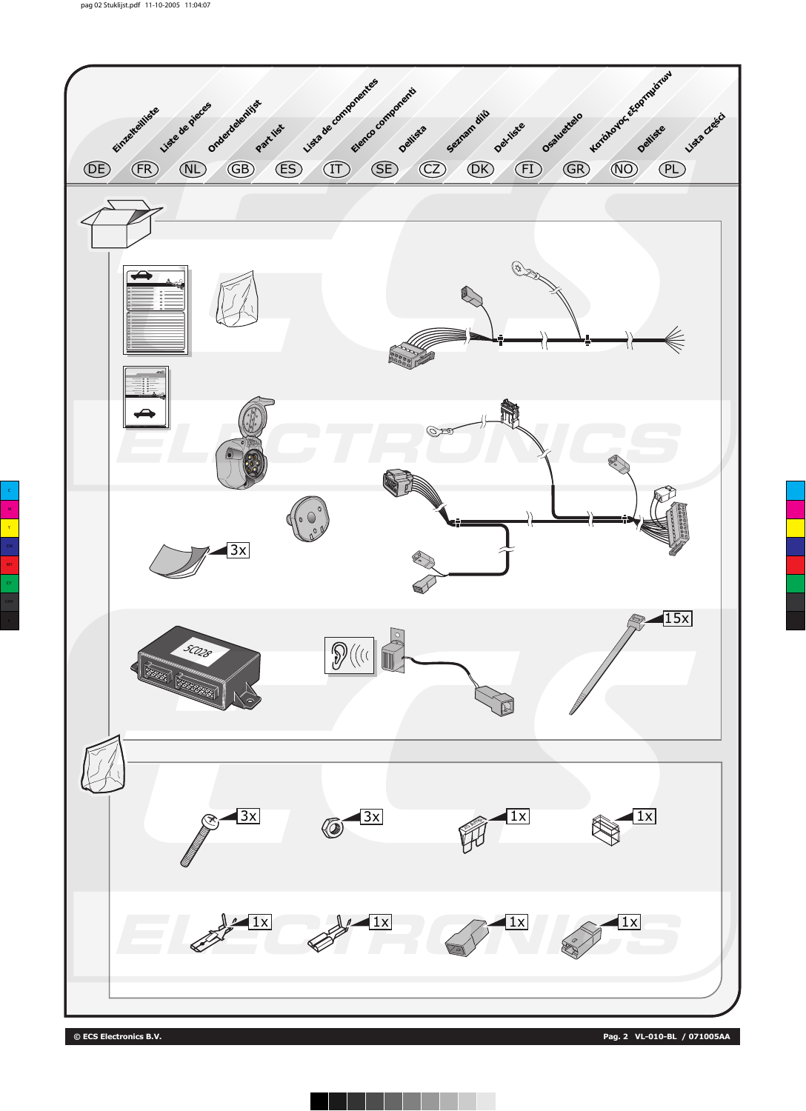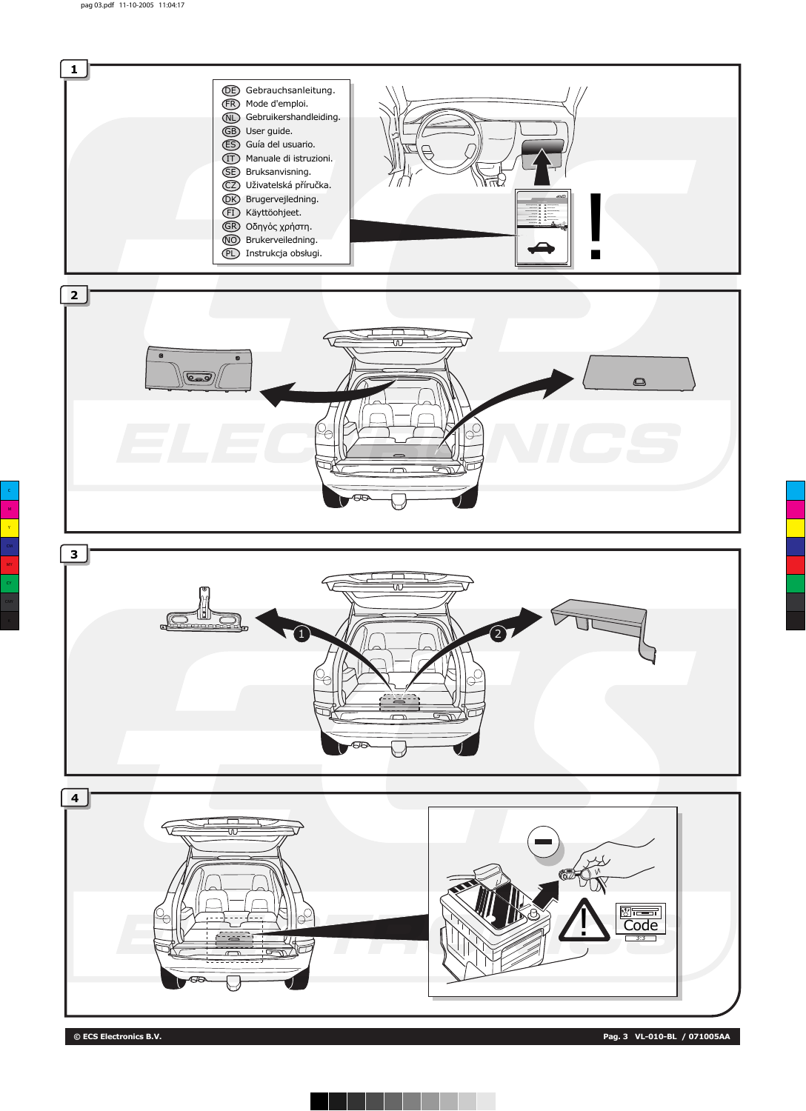

**© ECS Electronics B.V. Pag. 3 VL-010-BL / 071005AA**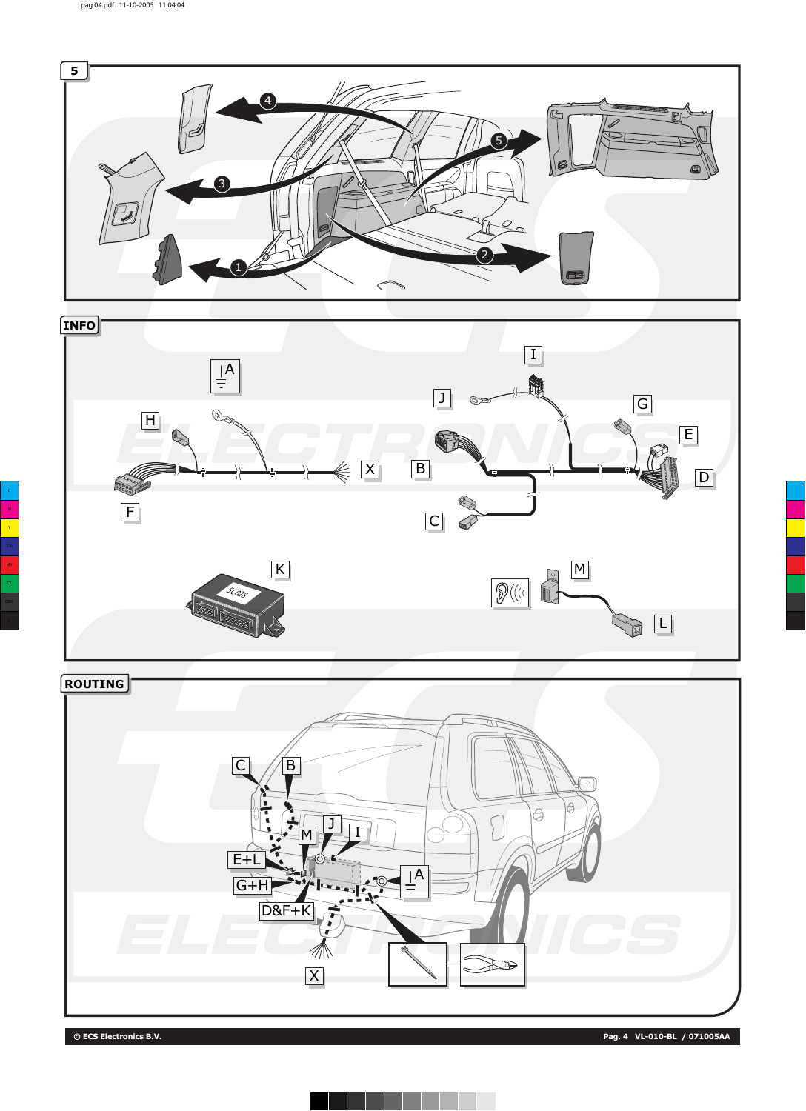



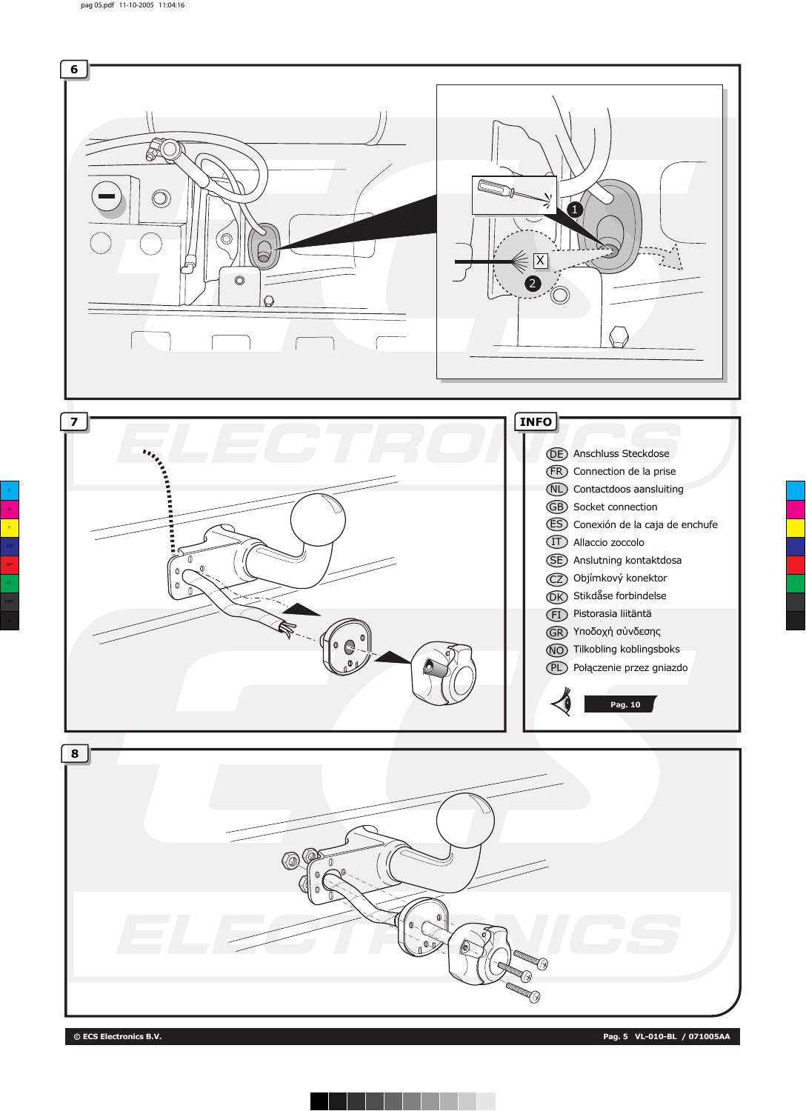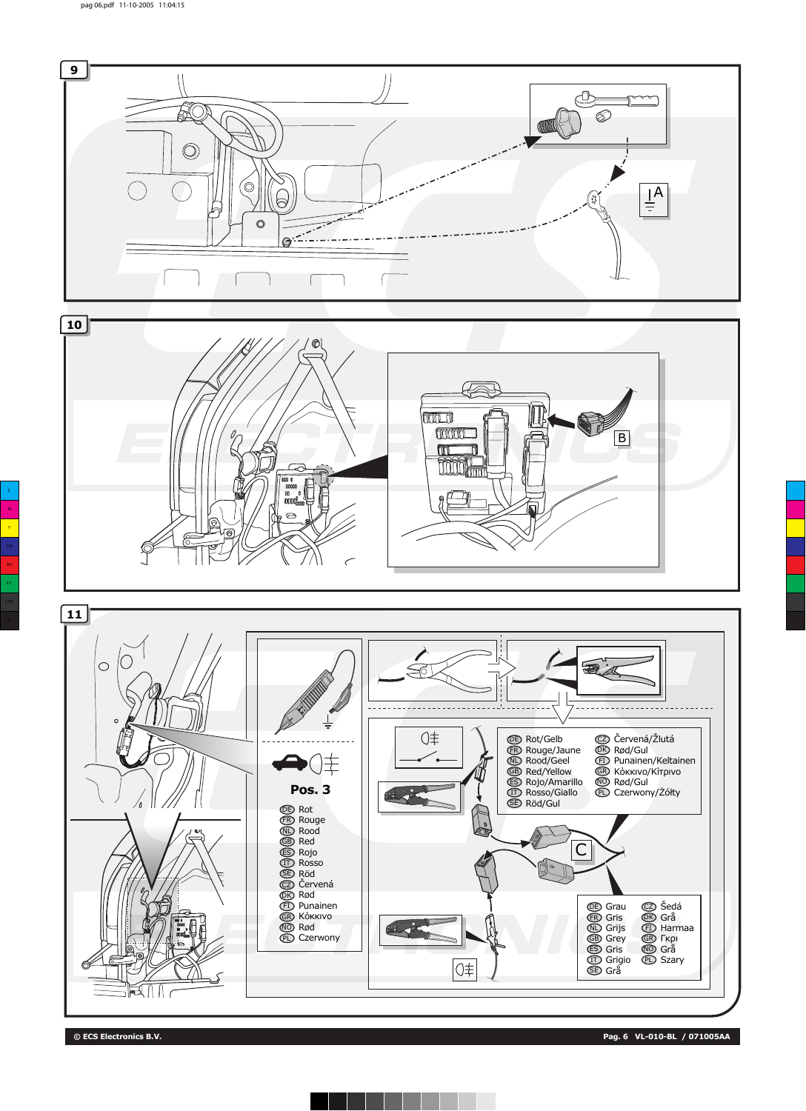



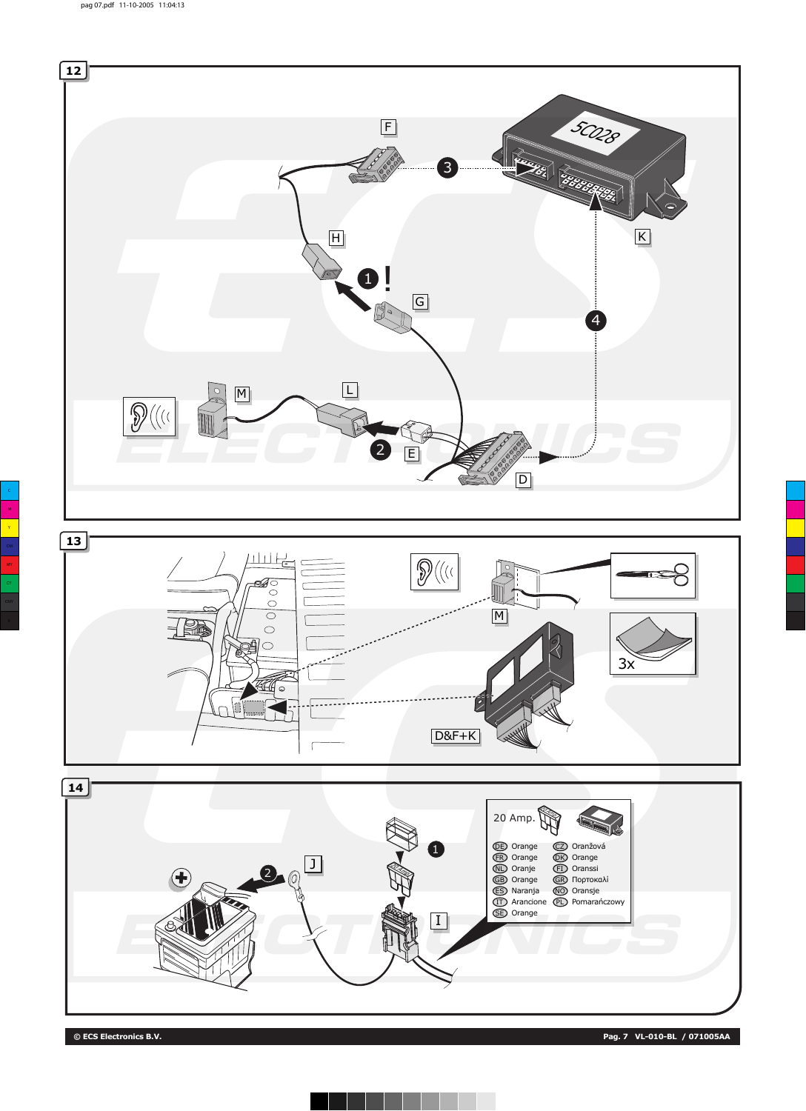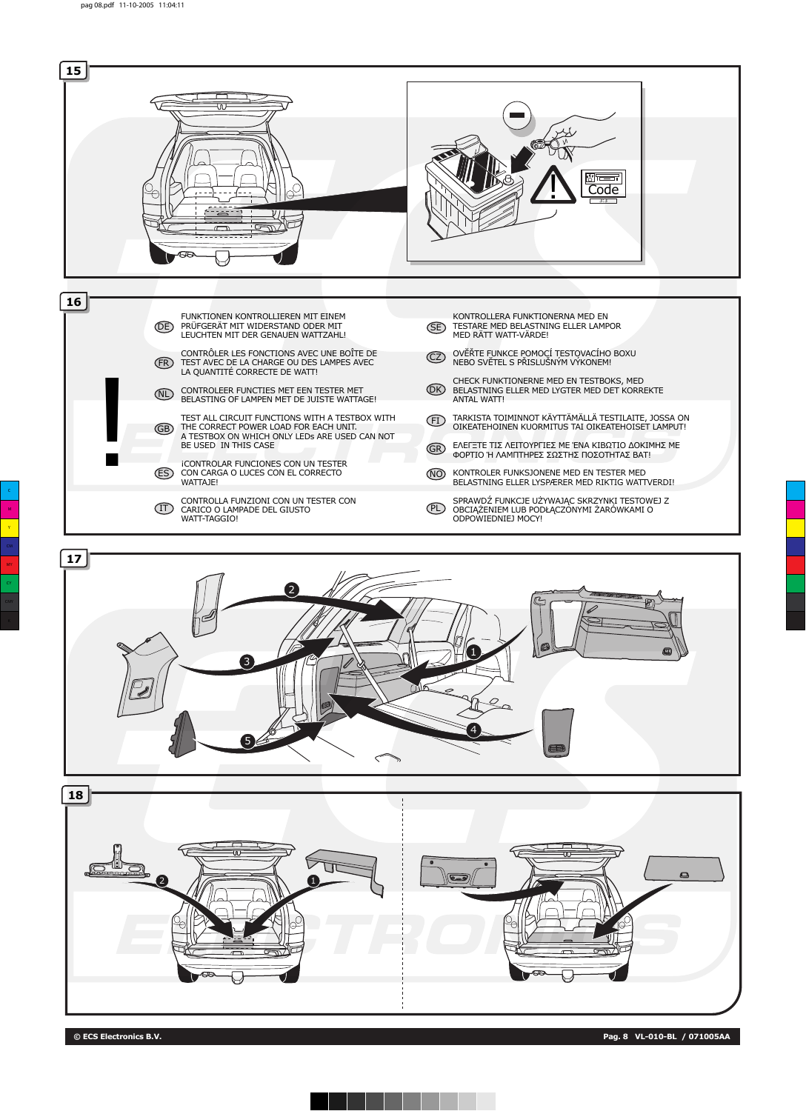



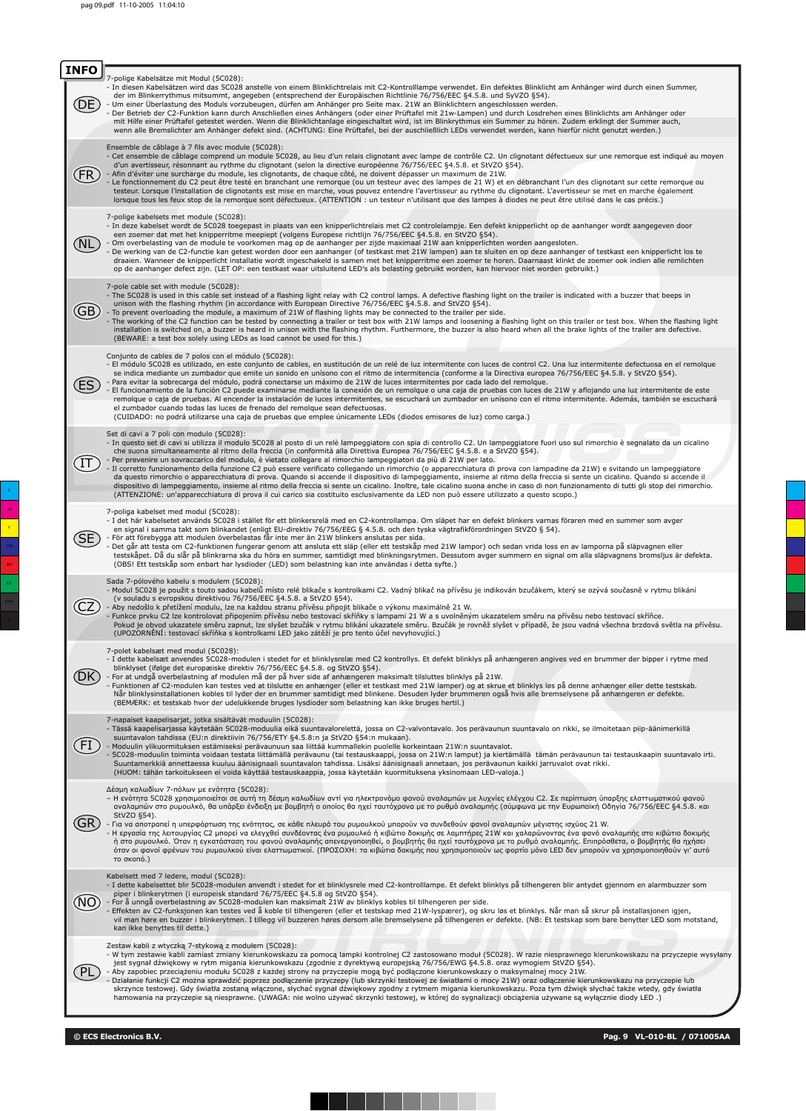| <b>INFO</b> |                                                                                                                                                                                                                                                                                                                                                                                                                                                                                                                                                                                                                                                                                                                                                                                                                                                                                                                                                                                                                                                                                                                                                                                  |
|-------------|----------------------------------------------------------------------------------------------------------------------------------------------------------------------------------------------------------------------------------------------------------------------------------------------------------------------------------------------------------------------------------------------------------------------------------------------------------------------------------------------------------------------------------------------------------------------------------------------------------------------------------------------------------------------------------------------------------------------------------------------------------------------------------------------------------------------------------------------------------------------------------------------------------------------------------------------------------------------------------------------------------------------------------------------------------------------------------------------------------------------------------------------------------------------------------|
|             | 7-polige Kabelsätze mit Modul (5C028):<br>- In diesen Kabelsätzen wird das 5C028 anstelle von einem Blinklichtrelais mit C2-Kontrolllampe verwendet. Ein defektes Blinklicht am Anhänger wird durch einen Summer,<br>der im Blinkerrythmus mitsummt, angegeben (entsprechend der Europäischen Richtlinie 76/756/EEC §4.5.8. und SyVZO §54).<br>- Um einer Überlastung des Moduls vorzubeugen, dürfen am Anhänger pro Seite max. 21W an Blinklichtern angeschlossen werden.<br>Der Betrieb der C2-Funktion kann durch Anschließen eines Anhängers (oder einer Prüftafel mit 21w-Lampen) und durch Losdrehen eines Blinklichts am Anhänger oder<br>mit Hilfe einer Prüftafel getestet werden. Wenn die Blinklichtanlage eingeschaltet wird, ist im Blinkrythmus ein Summer zu hören. Zudem erklingt der Summer auch,<br>wenn alle Bremslichter am Anhänger defekt sind. (ACHTUNG: Eine Prüftafel, bei der auschließlich LEDs verwendet werden, kann hierfür nicht genutzt werden.)                                                                                                                                                                                                 |
|             | Ensemble de câblage à 7 fils avec module (5C028):<br>- Cet ensemble de câblage comprend un module 5C028, au lieu d'un relais clignotant avec lampe de contrôle C2. Un clignotant défectueux sur une remorque est indiqué au moyen<br>d'un avertisseur, résonnant au rythme du clignotant (selon la directive européenne 76/756/EEC §4.5.8. et StVZO §54).<br>- Afin d'éviter une surcharge du module, les clignotants, de chaque côté, ne doivent dépasser un maximum de 21W.<br>Le fonctionnement du C2 peut être testé en branchant une remorque (ou un testeur avec des lampes de 21 W) et en débranchant l'un des clignotant sur cette remorque ou<br>testeur. Lorsque l'installation de clignotants est mise en marche, vous pouvez entendre l'avertisseur au rythme du clignotant. L'avertisseur se met en marche également<br>lorsque tous les feux stop de la remorque sont défectueux. (ATTENTION : un testeur n'utilisant que des lampes à diodes ne peut être utilisé dans le cas précis.)                                                                                                                                                                            |
|             | 7-polige kabelsets met module (5C028):<br>- In deze kabelset wordt de 5C028 toegepast in plaats van een knipperlichtrelais met C2 controlelampje. Een defekt knipperlicht op de aanhanger wordt aangegeven door<br>een zoemer dat met het knipperritme meepiept (volgens Europese richtlijn 76/756/EEC §4.5.8. en StVZO §54).<br>- Om overbelasting van de module te voorkomen mag op de aanhanger per zijde maximaal 21W aan knipperlichten worden aangesloten.<br>De werking van de C2-functie kan getest worden door een aanhanger (of testkast met 21W lampen) aan te sluiten en op deze aanhanger of testkast een knipperlicht los te<br>draaien. Wanneer de knipperlicht installatie wordt ingeschakeld is samen met het knipperritme een zoemer te horen. Daarnaast klinkt de zoemer ook indien alle remlichten<br>op de aanhanger defect zijn. (LET OP: een testkast waar uitsluitend LED's als belasting gebruikt worden, kan hiervoor niet worden gebruikt.)                                                                                                                                                                                                           |
| GB          | 7-pole cable set with module (5C028):<br>- The 5C028 is used in this cable set instead of a flashing light relay with C2 control lamps. A defective flashing light on the trailer is indicated with a buzzer that beeps in<br>unison with the flashing rhythm (in accordance with European Directive 76/756/EEC §4.5.8. and StVZO §54).<br>- To prevent overloading the module, a maximum of 21W of flashing lights may be connected to the trailer per side.<br>- The working of the C2 function can be tested by connecting a trailer or test box with 21W lamps and loosening a flashing light on this trailer or test box. When the flashing light<br>installation is switched on, a buzzer is heard in unison with the flashing rhythm. Furthermore, the buzzer is also heard when all the brake lights of the trailer are defective.<br>(BEWARE: a test box solely using LEDs as load cannot be used for this.)                                                                                                                                                                                                                                                            |
|             | Conjunto de cables de 7 polos con el módulo (5C028):<br>- El módulo 5C028 es utilizado, en este conjunto de cables, en sustitución de un relé de luz intermitente con luces de control C2. Una luz intermitente defectuosa en el remolque<br>se indica mediante un zumbador que emite un sonido en unísono con el ritmo de intermitencia (conforme a la Directiva europea 76/756/EEC §4.5.8. y StVZO §54).<br>- Para evitar la sobrecarga del módulo, podrá conectarse un máximo de 21W de luces intermitentes por cada lado del remolgue.<br>El funcionamiento de la función C2 puede examinarse mediante la conexión de un remolque o una caja de pruebas con luces de 21W y aflojando una luz intermitente de este<br>remolque o caja de pruebas. Al encender la instalación de luces intermitentes, se escuchará un zumbador en unísono con el ritmo intermitente. Además, también se escuchará<br>el zumbador cuando todas las luces de frenado del remolgue sean defectuosas.<br>(CUIDADO: no podrá utilizarse una caja de pruebas que emplee únicamente LEDs (diodos emisores de luz) como carga.)                                                                        |
|             | Set di cavi a 7 poli con modulo (5C028):<br>- In questo set di cavi si utilizza il modulo 5C028 al posto di un relè lampeggiatore con spia di controllo C2. Un lampeggiatore fuori uso sul rimorchio è segnalato da un cicalino<br>che suona simultaneamente al ritmo della freccia (in conformità alla Direttiva Europea 76/756/EEC §4.5.8. e a StVZO §54).<br>Per prevenire un sovraccarico del modulo, è vietato collegare al rimorchio lampeggiatori da più di 21W per lato.<br>- Il corretto funzionamento della funzione C2 può essere verificato collegando un rimorchio (o apparecchiatura di prova con lampadine da 21W) e svitando un lampeggiatore<br>da questo rimorchio o apparecchiatura di prova. Quando si accende il dispositivo di lampeggiamento, insieme al ritmo della freccia si sente un cicalino. Quando si accende il<br>dispositivo di lampeggiamento, insieme al ritmo della freccia si sente un cicalino. Inoltre, tale cicalino suona anche in caso di non funzionamento di tutti gli stop del rimorchio.<br>(ATTENZIONE: un'apparecchiatura di prova il cui carico sia costituito esclusivamente da LED non può essere utilizzato a questo scopo.) |
|             | 7-poliga kabelset med modul (5C028):<br>- I det här kabelsetet används 5C028 i stället för ett blinkersrelä med en C2-kontrollampa. Om släpet har en defekt blinkers varnas föraren med en summer som avger<br>en signal i samma takt som blinkandet (enligt EU-direktiv 76/756/EEG § 4.5.8. och den tyska vägtrafikförordningen StVZO § 54).<br>- För att förebygga att modulen överbelastas får inte mer än 21W blinkers anslutas per sida.<br>Det går att testa om C2-funktionen fungerar genom att ansluta ett släp (eller ett testskåp med 21W lampor) och sedan vrida loss en av lamporna på släpvagnen eller<br>testskåpet. Då du slår på blinkrarna ska du höra en summer, samtidigt med blinkningsrytmen. Dessutom avger summern en signal om alla släpvagnens bromsljus är defekta.<br>(OBS! Ett testskåp som enbart har lysdioder (LED) som belastning kan inte användas i detta syfte.)                                                                                                                                                                                                                                                                              |
|             | Sada 7-pólového kabelu s modulem (5C028):<br>- Modul 5C028 je použit s touto sadou kabelů místo relé blikače s kontrolkami C2. Vadný blikač na přívěsu je indikován bzučákem, který se ozývá současně v rytmu blikání<br>(v souladu s evropskou direktivou 76/756/EEC §4.5.8. a StVZO §54).<br>- Aby nedošlo k přetížení modulu, lze na každou stranu přívěsu připojit blikače o výkonu maximálně 21 W.<br>Funkce prvku C2 lze kontrolovat připojením přívěsu nebo testovací skříňky s lampami 21 W a s uvolněným ukazatelem směru na přívěsu nebo testovací skříňce.<br>Pokud je obvod ukazatele směru zapnut, lze slyšet bzučák v rytmu blikání ukazatele směru. Bzučák je rovněž slyšet v případě, že jsou vadná všechna brzdová světla na přívěsu.                                                                                                                                                                                                                                                                                                                                                                                                                           |
|             | (UPOZORNĚNÍ: testovací skříňka s kontrolkami LED jako zátěží je pro tento účel nevyhovující.)<br>7-polet kabelsæt med modul (5C028):<br>- I dette kabelsæt anvendes 5C028-modulen i stedet for et blinklysrelæ med C2 kontrollys. Et defekt blinklys på anhængeren angives ved en brummer der bipper i rytme med<br>blinklyset (ifølge det europæiske direktiv 76/756/EEC §4.5.8. og StVZO §54).<br>- For at undgå overbelastning af modulen må der på hver side af anhængeren maksimalt tilsluttes blinklys på 21W.<br>- Funktionen af C2-modulen kan testes ved at tilslutte en anhænger (eller et testkast med 21W lamper) og at skrue et blinklys løs på denne anhænger eller dette testskab.<br>Når blinklysinstallationen kobles til lyder der en brummer samtidigt med blinkene. Desuden lyder brummeren også hvis alle bremselysene på anhængeren er defekte.<br>(BEMÆRK: et testskab hvor der udelukkende bruges lysdioder som belastning kan ikke bruges hertil.)                                                                                                                                                                                                      |
|             | 7-napaiset kaapelisarjat, jotka sisältävät moduulin (5C028):<br>- Tässä kaapelisarjassa käytetään 5C028-moduulia eikä suuntavalorelettä, jossa on C2-valvontavalo. Jos perävaunun suuntavalo on rikki, se ilmoitetaan piip-äänimerkillä<br>suuntavalon tahdissa (EU:n direktiivin 76/756/ETY §4.5.8:n ja StVZO §54:n mukaan).<br>- Moduulin ylikuormituksen estämiseksi perävaunuun saa liittää kummallekin puolelle korkeintaan 21W:n suuntavalot.<br>- 5C028-moduulin toiminta voidaan testata liittämällä perävaunu (tai testauskaappi, jossa on 21W:n lamput) ja kiertämällä tämän perävaunun tai testauskaapin suuntavalo irti.<br>Suuntamerkkiä annettaessa kuuluu äänisignaali suuntavalon tahdissa. Lisäksi äänisignaali annetaan, jos perävaunun kaikki jarruvalot ovat rikki.<br>(HUOM: tähän tarkoitukseen ei voida käyttää testauskaappia, jossa käytetään kuormituksena yksinomaan LED-valoja.)                                                                                                                                                                                                                                                                     |
|             | Δέσμη καλωδίων 7-πόλων με ενότητα (5C028):<br>– Η ενότητα 5C028 χρησιμοποιείται σε αυτή τη δέσμη καλωδίων αντί για ηλεκτρονόμο φανού αναλαμπών με λυχνίες ελέγχου C2. Σε περίπτωση ύπαρξης ελαττωματικού φανού<br>αναλαμπών στο ρυμουλκό, θα υπάρξει ένδειξη με βομβητή ο οποίος θα ηχεί ταυτόχρονα με το ρυθμό αναλαμπής (σύμφωνα με την Ευρωπαϊκή Οδηγία 76/756/ΕΕC §4.5.8. και<br>StVZO §54).<br>- Για να αποτραπεί η υπερφόρτωση της ενότητας, σε κάθε πλευρά του ρυμουλκού μπορούν να συνδεθούν φανοί αναλαμπών μέγιστης ισχύος 21 W.<br>- Η εργασία της λειτουργίας C2 μπορεί να ελεγχθεί συνδέοντας ένα ρυμουλκό ή κιβώτιο δοκιμής σε λαμπτήρες 21W και χαλαρώνοντας ένα φανό αναλαμπής στο κιβώτιο δοκιμής<br>ή στο ρυμουλκό. Όταν η εγκατάσταση του φανού αναλαμπής απενεργοποιηθεί, ο βομβητής θα ηχεί ταυτόχρονα με το ρυθμό αναλαμπής. Επιπρόσθετα, ο βομβητής θα ηχήσει<br>όταν οι φανοί φρένων του ρυμουλκού είναι ελαττωματικοί. (ΠΡΟΣΟΧΗ: τα κιβώτια δοκιμής που χρησιμοποιούν ως φορτίο μόνο LED δεν μπορούν να χρησιμοποιηθούν γι' αυτό<br>το σκοπό.)                                                                                                          |
|             | Kabelsett med 7 ledere, modul (5C028):<br>- I dette kabelsettet blir 5C028-modulen anvendt i stedet for et blinklysrele med C2-kontrolllampe. Et defekt blinklys på tilhengeren blir antydet gjennom en alarmbuzzer som<br>piper i blinkerytmen (i europeisk standard 76/75/EEC §4.5.8 og StVZO §54).<br>- For å unngå overbelastning av 5C028-modulen kan maksimalt 21W av blinklys kobles til tilhengeren per side.<br>- Effekten av C2-funksjonen kan testes ved å koble til tilhengeren (eller et testskap med 21W-lyspærer), og skru løs et blinklys. Når man så skrur på installasjonen igjen,<br>vil man høre en buzzer i blinkerytmen. I tillegg vil buzzeren høres dersom alle bremselysene på tilhengeren er defekte. (NB: Et testskap som bare benytter LED som motstand,<br>kan ikke benyttes til dette.)                                                                                                                                                                                                                                                                                                                                                            |
|             | Zestaw kabli z wtyczką 7-stykową z modułem (5C028):<br>- W tym zestawie kabli zamiast zmiany kierunkowskazu za pomocą lampki kontrolnej C2 zastosowano moduł (5C028). W razie niesprawnego kierunkowskazu na przyczepie wysyłany<br>jest sygnał dźwiękowy w rytm migania kierunkowskazu (zgodnie z dyrektywą europejską 76/756/EWG §4.5.8. oraz wymogiem StVZO §54).<br>- Aby zapobiec przeciążeniu modułu 5C028 z każdej strony na przyczepie mogą być podłączone kierunkowskazy o maksymalnej mocy 21W.<br>Działanie funkcji C2 można sprawdzić poprzez podłączenie przyczepy (lub skrzynki testowej ze światłami o mocy 21W) oraz odłączenie kierunkowskazu na przyczepie lub<br>skrzynce testowej. Gdy światła zostaną włączone, słychać sygnał dźwiękowy zgodny z rytmem migania kierunkowskazu. Poza tym dźwięk słychać także wtedy, gdy światła<br>hamowania na przyczepie są niesprawne. (UWAGA: nie wolno używać skrzynki testowej, w której do sygnalizacji obciążenia używane są wyłącznie diody LED.)                                                                                                                                                                |